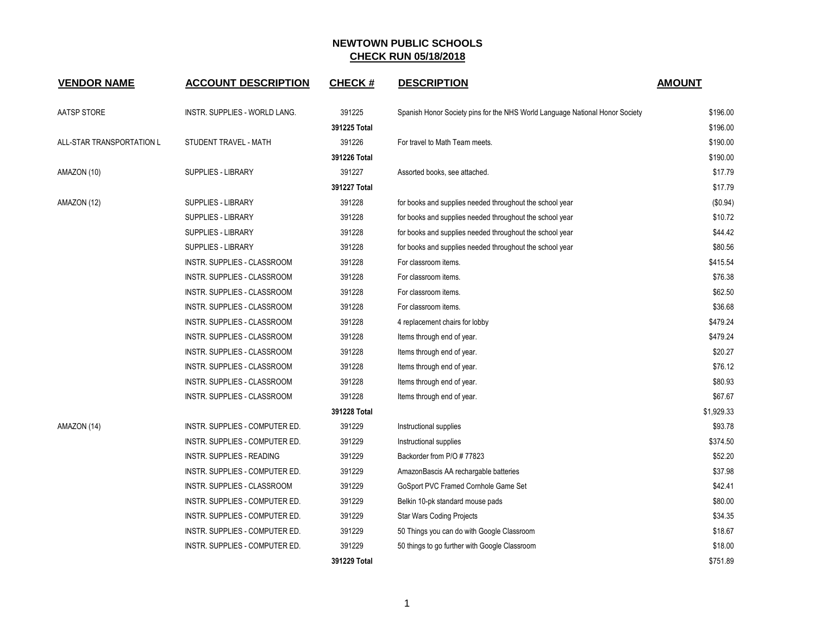| <b>VENDOR NAME</b>        | <b>ACCOUNT DESCRIPTION</b>       | <b>CHECK#</b> | <b>DESCRIPTION</b>                                                           | <b>AMOUNT</b> |
|---------------------------|----------------------------------|---------------|------------------------------------------------------------------------------|---------------|
| AATSP STORE               | INSTR. SUPPLIES - WORLD LANG.    | 391225        | Spanish Honor Society pins for the NHS World Language National Honor Society | \$196.00      |
|                           |                                  | 391225 Total  |                                                                              | \$196.00      |
| ALL-STAR TRANSPORTATION L | STUDENT TRAVEL - MATH            | 391226        | For travel to Math Team meets.                                               | \$190.00      |
|                           |                                  | 391226 Total  |                                                                              | \$190.00      |
| AMAZON (10)               | SUPPLIES - LIBRARY               | 391227        | Assorted books, see attached.                                                | \$17.79       |
|                           |                                  | 391227 Total  |                                                                              | \$17.79       |
| AMAZON (12)               | <b>SUPPLIES - LIBRARY</b>        | 391228        | for books and supplies needed throughout the school year                     | (\$0.94)      |
|                           | <b>SUPPLIES - LIBRARY</b>        | 391228        | for books and supplies needed throughout the school year                     | \$10.72       |
|                           | SUPPLIES - LIBRARY               | 391228        | for books and supplies needed throughout the school year                     | \$44.42       |
|                           | SUPPLIES - LIBRARY               | 391228        | for books and supplies needed throughout the school year                     | \$80.56       |
|                           | INSTR. SUPPLIES - CLASSROOM      | 391228        | For classroom items.                                                         | \$415.54      |
|                           | INSTR. SUPPLIES - CLASSROOM      | 391228        | For classroom items.                                                         | \$76.38       |
|                           | INSTR. SUPPLIES - CLASSROOM      | 391228        | For classroom items.                                                         | \$62.50       |
|                           | INSTR. SUPPLIES - CLASSROOM      | 391228        | For classroom items.                                                         | \$36.68       |
|                           | INSTR. SUPPLIES - CLASSROOM      | 391228        | 4 replacement chairs for lobby                                               | \$479.24      |
|                           | INSTR. SUPPLIES - CLASSROOM      | 391228        | Items through end of year.                                                   | \$479.24      |
|                           | INSTR. SUPPLIES - CLASSROOM      | 391228        | Items through end of year.                                                   | \$20.27       |
|                           | INSTR. SUPPLIES - CLASSROOM      | 391228        | Items through end of year.                                                   | \$76.12       |
|                           | INSTR. SUPPLIES - CLASSROOM      | 391228        | Items through end of year.                                                   | \$80.93       |
|                           | INSTR. SUPPLIES - CLASSROOM      | 391228        | Items through end of year.                                                   | \$67.67       |
|                           |                                  | 391228 Total  |                                                                              | \$1,929.33    |
| AMAZON (14)               | INSTR. SUPPLIES - COMPUTER ED.   | 391229        | Instructional supplies                                                       | \$93.78       |
|                           | INSTR. SUPPLIES - COMPUTER ED.   | 391229        | Instructional supplies                                                       | \$374.50      |
|                           | <b>INSTR. SUPPLIES - READING</b> | 391229        | Backorder from P/O # 77823                                                   | \$52.20       |
|                           | INSTR. SUPPLIES - COMPUTER ED.   | 391229        | AmazonBascis AA rechargable batteries                                        | \$37.98       |
|                           | INSTR. SUPPLIES - CLASSROOM      | 391229        | GoSport PVC Framed Cornhole Game Set                                         | \$42.41       |
|                           | INSTR. SUPPLIES - COMPUTER ED.   | 391229        | Belkin 10-pk standard mouse pads                                             | \$80.00       |
|                           | INSTR. SUPPLIES - COMPUTER ED.   | 391229        | <b>Star Wars Coding Projects</b>                                             | \$34.35       |
|                           | INSTR. SUPPLIES - COMPUTER ED.   | 391229        | 50 Things you can do with Google Classroom                                   | \$18.67       |
|                           | INSTR. SUPPLIES - COMPUTER ED.   | 391229        | 50 things to go further with Google Classroom                                | \$18.00       |
|                           |                                  | 391229 Total  |                                                                              | \$751.89      |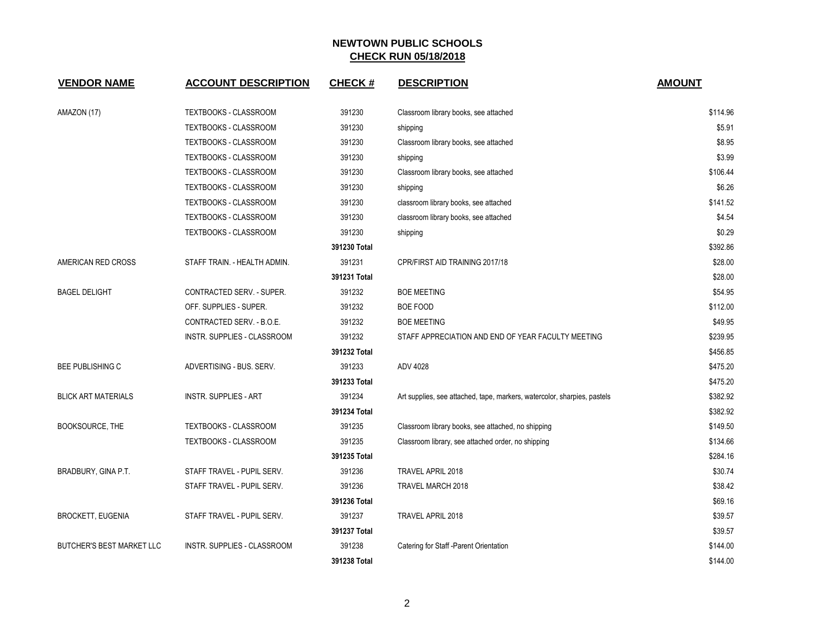| <b>VENDOR NAME</b>               | <b>ACCOUNT DESCRIPTION</b>   | <b>CHECK#</b> | <b>DESCRIPTION</b>                                                       | <b>AMOUNT</b> |
|----------------------------------|------------------------------|---------------|--------------------------------------------------------------------------|---------------|
| AMAZON (17)                      | <b>TEXTBOOKS - CLASSROOM</b> | 391230        | Classroom library books, see attached                                    | \$114.96      |
|                                  | <b>TEXTBOOKS - CLASSROOM</b> | 391230        | shipping                                                                 | \$5.91        |
|                                  | TEXTBOOKS - CLASSROOM        | 391230        | Classroom library books, see attached                                    | \$8.95        |
|                                  | <b>TEXTBOOKS - CLASSROOM</b> | 391230        | shipping                                                                 | \$3.99        |
|                                  | <b>TEXTBOOKS - CLASSROOM</b> | 391230        | Classroom library books, see attached                                    | \$106.44      |
|                                  | <b>TEXTBOOKS - CLASSROOM</b> | 391230        | shipping                                                                 | \$6.26        |
|                                  | <b>TEXTBOOKS - CLASSROOM</b> | 391230        | classroom library books, see attached                                    | \$141.52      |
|                                  | <b>TEXTBOOKS - CLASSROOM</b> | 391230        | classroom library books, see attached                                    | \$4.54        |
|                                  | TEXTBOOKS - CLASSROOM        | 391230        | shipping                                                                 | \$0.29        |
|                                  |                              | 391230 Total  |                                                                          | \$392.86      |
| AMERICAN RED CROSS               | STAFF TRAIN. - HEALTH ADMIN. | 391231        | CPR/FIRST AID TRAINING 2017/18                                           | \$28.00       |
|                                  |                              | 391231 Total  |                                                                          | \$28.00       |
| <b>BAGEL DELIGHT</b>             | CONTRACTED SERV. - SUPER.    | 391232        | <b>BOE MEETING</b>                                                       | \$54.95       |
|                                  | OFF. SUPPLIES - SUPER.       | 391232        | <b>BOE FOOD</b>                                                          | \$112.00      |
|                                  | CONTRACTED SERV. - B.O.E.    | 391232        | <b>BOE MEETING</b>                                                       | \$49.95       |
|                                  | INSTR. SUPPLIES - CLASSROOM  | 391232        | STAFF APPRECIATION AND END OF YEAR FACULTY MEETING                       | \$239.95      |
|                                  |                              | 391232 Total  |                                                                          | \$456.85      |
| <b>BEE PUBLISHING C</b>          | ADVERTISING - BUS. SERV.     | 391233        | ADV 4028                                                                 | \$475.20      |
|                                  |                              | 391233 Total  |                                                                          | \$475.20      |
| <b>BLICK ART MATERIALS</b>       | <b>INSTR. SUPPLIES - ART</b> | 391234        | Art supplies, see attached, tape, markers, watercolor, sharpies, pastels | \$382.92      |
|                                  |                              | 391234 Total  |                                                                          | \$382.92      |
| BOOKSOURCE, THE                  | TEXTBOOKS - CLASSROOM        | 391235        | Classroom library books, see attached, no shipping                       | \$149.50      |
|                                  | <b>TEXTBOOKS - CLASSROOM</b> | 391235        | Classroom library, see attached order, no shipping                       | \$134.66      |
|                                  |                              | 391235 Total  |                                                                          | \$284.16      |
| BRADBURY, GINA P.T.              | STAFF TRAVEL - PUPIL SERV.   | 391236        | TRAVEL APRIL 2018                                                        | \$30.74       |
|                                  | STAFF TRAVEL - PUPIL SERV.   | 391236        | TRAVEL MARCH 2018                                                        | \$38.42       |
|                                  |                              | 391236 Total  |                                                                          | \$69.16       |
| <b>BROCKETT, EUGENIA</b>         | STAFF TRAVEL - PUPIL SERV.   | 391237        | TRAVEL APRIL 2018                                                        | \$39.57       |
|                                  |                              | 391237 Total  |                                                                          | \$39.57       |
| <b>BUTCHER'S BEST MARKET LLC</b> | INSTR. SUPPLIES - CLASSROOM  | 391238        | Catering for Staff - Parent Orientation                                  | \$144.00      |
|                                  |                              | 391238 Total  |                                                                          | \$144.00      |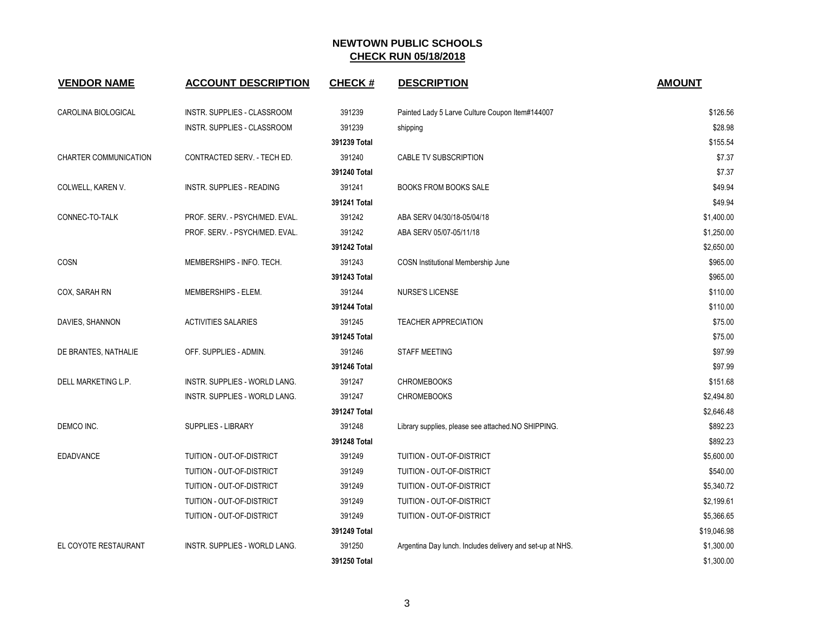| <b>VENDOR NAME</b>    | <b>ACCOUNT DESCRIPTION</b>       | <b>CHECK#</b> | <b>DESCRIPTION</b>                                        | <b>AMOUNT</b> |
|-----------------------|----------------------------------|---------------|-----------------------------------------------------------|---------------|
| CAROLINA BIOLOGICAL   | INSTR. SUPPLIES - CLASSROOM      | 391239        | Painted Lady 5 Larve Culture Coupon Item#144007           | \$126.56      |
|                       | INSTR. SUPPLIES - CLASSROOM      | 391239        | shipping                                                  | \$28.98       |
|                       |                                  | 391239 Total  |                                                           | \$155.54      |
| CHARTER COMMUNICATION | CONTRACTED SERV. - TECH ED.      | 391240        | CABLE TV SUBSCRIPTION                                     | \$7.37        |
|                       |                                  | 391240 Total  |                                                           | \$7.37        |
| COLWELL, KAREN V.     | <b>INSTR. SUPPLIES - READING</b> | 391241        | <b>BOOKS FROM BOOKS SALE</b>                              | \$49.94       |
|                       |                                  | 391241 Total  |                                                           | \$49.94       |
| CONNEC-TO-TALK        | PROF. SERV. - PSYCH/MED. EVAL.   | 391242        | ABA SERV 04/30/18-05/04/18                                | \$1,400.00    |
|                       | PROF. SERV. - PSYCH/MED. EVAL.   | 391242        | ABA SERV 05/07-05/11/18                                   | \$1,250.00    |
|                       |                                  | 391242 Total  |                                                           | \$2,650.00    |
| COSN                  | MEMBERSHIPS - INFO. TECH.        | 391243        | COSN Institutional Membership June                        | \$965.00      |
|                       |                                  | 391243 Total  |                                                           | \$965.00      |
| COX, SARAH RN         | MEMBERSHIPS - ELEM.              | 391244        | <b>NURSE'S LICENSE</b>                                    | \$110.00      |
|                       |                                  | 391244 Total  |                                                           | \$110.00      |
| DAVIES, SHANNON       | <b>ACTIVITIES SALARIES</b>       | 391245        | <b>TEACHER APPRECIATION</b>                               | \$75.00       |
|                       |                                  | 391245 Total  |                                                           | \$75.00       |
| DE BRANTES, NATHALIE  | OFF. SUPPLIES - ADMIN.           | 391246        | <b>STAFF MEETING</b>                                      | \$97.99       |
|                       |                                  | 391246 Total  |                                                           | \$97.99       |
| DELL MARKETING L.P.   | INSTR. SUPPLIES - WORLD LANG.    | 391247        | <b>CHROMEBOOKS</b>                                        | \$151.68      |
|                       | INSTR. SUPPLIES - WORLD LANG.    | 391247        | <b>CHROMEBOOKS</b>                                        | \$2,494.80    |
|                       |                                  | 391247 Total  |                                                           | \$2,646.48    |
| DEMCO INC.            | <b>SUPPLIES - LIBRARY</b>        | 391248        | Library supplies, please see attached.NO SHIPPING.        | \$892.23      |
|                       |                                  | 391248 Total  |                                                           | \$892.23      |
| <b>EDADVANCE</b>      | TUITION - OUT-OF-DISTRICT        | 391249        | TUITION - OUT-OF-DISTRICT                                 | \$5,600.00    |
|                       | TUITION - OUT-OF-DISTRICT        | 391249        | TUITION - OUT-OF-DISTRICT                                 | \$540.00      |
|                       | TUITION - OUT-OF-DISTRICT        | 391249        | TUITION - OUT-OF-DISTRICT                                 | \$5,340.72    |
|                       | TUITION - OUT-OF-DISTRICT        | 391249        | TUITION - OUT-OF-DISTRICT                                 | \$2,199.61    |
|                       | TUITION - OUT-OF-DISTRICT        | 391249        | TUITION - OUT-OF-DISTRICT                                 | \$5,366.65    |
|                       |                                  | 391249 Total  |                                                           | \$19,046.98   |
| EL COYOTE RESTAURANT  | INSTR. SUPPLIES - WORLD LANG.    | 391250        | Argentina Day lunch. Includes delivery and set-up at NHS. | \$1,300.00    |
|                       |                                  | 391250 Total  |                                                           | \$1,300.00    |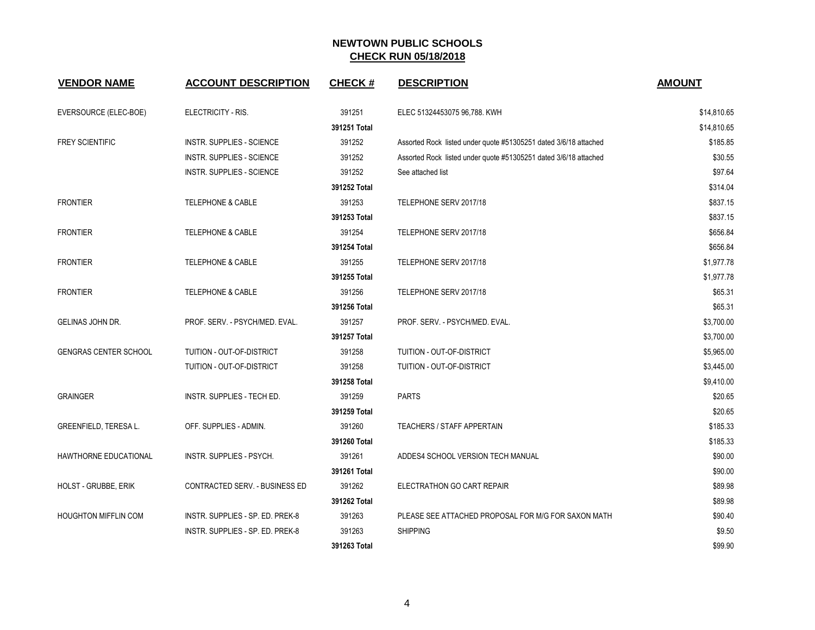| <b>VENDOR NAME</b>           | <b>ACCOUNT DESCRIPTION</b>       | <b>CHECK#</b> | <b>DESCRIPTION</b>                                               | <b>AMOUNT</b> |
|------------------------------|----------------------------------|---------------|------------------------------------------------------------------|---------------|
| EVERSOURCE (ELEC-BOE)        | ELECTRICITY - RIS.               | 391251        | ELEC 51324453075 96,788. KWH                                     | \$14,810.65   |
|                              |                                  | 391251 Total  |                                                                  | \$14,810.65   |
| <b>FREY SCIENTIFIC</b>       | <b>INSTR. SUPPLIES - SCIENCE</b> | 391252        | Assorted Rock listed under quote #51305251 dated 3/6/18 attached | \$185.85      |
|                              | <b>INSTR. SUPPLIES - SCIENCE</b> | 391252        | Assorted Rock listed under quote #51305251 dated 3/6/18 attached | \$30.55       |
|                              | <b>INSTR. SUPPLIES - SCIENCE</b> | 391252        | See attached list                                                | \$97.64       |
|                              |                                  | 391252 Total  |                                                                  | \$314.04      |
| <b>FRONTIER</b>              | <b>TELEPHONE &amp; CABLE</b>     | 391253        | TELEPHONE SERV 2017/18                                           | \$837.15      |
|                              |                                  | 391253 Total  |                                                                  | \$837.15      |
| <b>FRONTIER</b>              | <b>TELEPHONE &amp; CABLE</b>     | 391254        | TELEPHONE SERV 2017/18                                           | \$656.84      |
|                              |                                  | 391254 Total  |                                                                  | \$656.84      |
| <b>FRONTIER</b>              | <b>TELEPHONE &amp; CABLE</b>     | 391255        | TELEPHONE SERV 2017/18                                           | \$1,977.78    |
|                              |                                  | 391255 Total  |                                                                  | \$1,977.78    |
| <b>FRONTIER</b>              | <b>TELEPHONE &amp; CABLE</b>     | 391256        | TELEPHONE SERV 2017/18                                           | \$65.31       |
|                              |                                  | 391256 Total  |                                                                  | \$65.31       |
| GELINAS JOHN DR.             | PROF. SERV. - PSYCH/MED. EVAL.   | 391257        | PROF. SERV. - PSYCH/MED. EVAL.                                   | \$3,700.00    |
|                              |                                  | 391257 Total  |                                                                  | \$3,700.00    |
| <b>GENGRAS CENTER SCHOOL</b> | TUITION - OUT-OF-DISTRICT        | 391258        | TUITION - OUT-OF-DISTRICT                                        | \$5,965.00    |
|                              | TUITION - OUT-OF-DISTRICT        | 391258        | TUITION - OUT-OF-DISTRICT                                        | \$3,445.00    |
|                              |                                  | 391258 Total  |                                                                  | \$9,410.00    |
| <b>GRAINGER</b>              | INSTR. SUPPLIES - TECH ED.       | 391259        | <b>PARTS</b>                                                     | \$20.65       |
|                              |                                  | 391259 Total  |                                                                  | \$20.65       |
| <b>GREENFIELD, TERESA L.</b> | OFF. SUPPLIES - ADMIN.           | 391260        | <b>TEACHERS / STAFF APPERTAIN</b>                                | \$185.33      |
|                              |                                  | 391260 Total  |                                                                  | \$185.33      |
| <b>HAWTHORNE EDUCATIONAL</b> | INSTR. SUPPLIES - PSYCH.         | 391261        | ADDES4 SCHOOL VERSION TECH MANUAL                                | \$90.00       |
|                              |                                  | 391261 Total  |                                                                  | \$90.00       |
| <b>HOLST - GRUBBE, ERIK</b>  | CONTRACTED SERV. - BUSINESS ED   | 391262        | ELECTRATHON GO CART REPAIR                                       | \$89.98       |
|                              |                                  | 391262 Total  |                                                                  | \$89.98       |
| <b>HOUGHTON MIFFLIN COM</b>  | INSTR. SUPPLIES - SP. ED. PREK-8 | 391263        | PLEASE SEE ATTACHED PROPOSAL FOR M/G FOR SAXON MATH              | \$90.40       |
|                              | INSTR. SUPPLIES - SP. ED. PREK-8 | 391263        | <b>SHIPPING</b>                                                  | \$9.50        |
|                              |                                  | 391263 Total  |                                                                  | \$99.90       |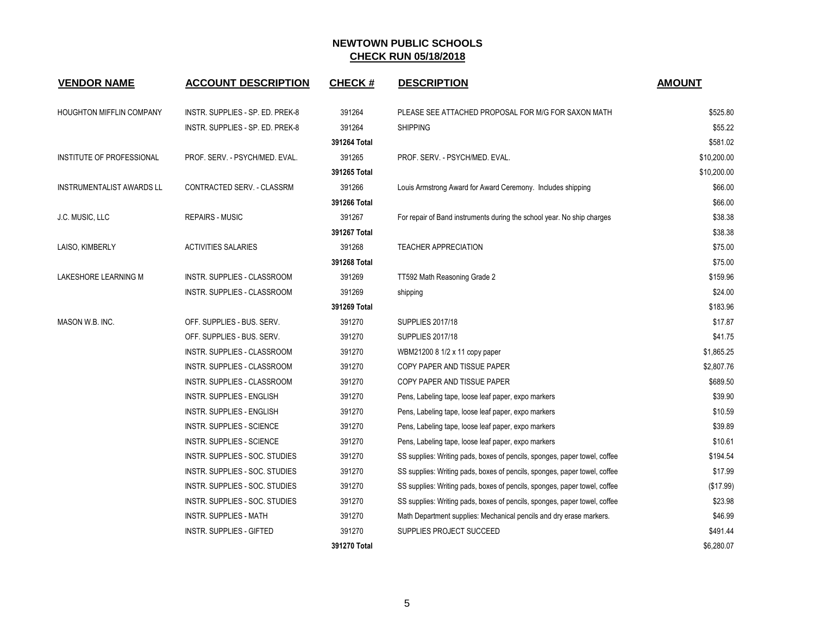| <b>VENDOR NAME</b>               | <b>ACCOUNT DESCRIPTION</b>         | <b>CHECK#</b> | <b>DESCRIPTION</b>                                                        | <b>AMOUNT</b> |
|----------------------------------|------------------------------------|---------------|---------------------------------------------------------------------------|---------------|
| <b>HOUGHTON MIFFLIN COMPANY</b>  | INSTR. SUPPLIES - SP. ED. PREK-8   | 391264        | PLEASE SEE ATTACHED PROPOSAL FOR M/G FOR SAXON MATH                       | \$525.80      |
|                                  | INSTR. SUPPLIES - SP. ED. PREK-8   | 391264        | <b>SHIPPING</b>                                                           | \$55.22       |
|                                  |                                    | 391264 Total  |                                                                           | \$581.02      |
| INSTITUTE OF PROFESSIONAL        | PROF. SERV. - PSYCH/MED. EVAL.     | 391265        | PROF. SERV. - PSYCH/MED. EVAL.                                            | \$10,200.00   |
|                                  |                                    | 391265 Total  |                                                                           | \$10,200.00   |
| <b>INSTRUMENTALIST AWARDS LL</b> | CONTRACTED SERV. - CLASSRM         | 391266        | Louis Armstrong Award for Award Ceremony. Includes shipping               | \$66.00       |
|                                  |                                    | 391266 Total  |                                                                           | \$66.00       |
| J.C. MUSIC, LLC                  | <b>REPAIRS - MUSIC</b>             | 391267        | For repair of Band instruments during the school year. No ship charges    | \$38.38       |
|                                  |                                    | 391267 Total  |                                                                           | \$38.38       |
| LAISO, KIMBERLY                  | <b>ACTIVITIES SALARIES</b>         | 391268        | <b>TEACHER APPRECIATION</b>                                               | \$75.00       |
|                                  |                                    | 391268 Total  |                                                                           | \$75.00       |
| LAKESHORE LEARNING M             | INSTR. SUPPLIES - CLASSROOM        | 391269        | TT592 Math Reasoning Grade 2                                              | \$159.96      |
|                                  | INSTR. SUPPLIES - CLASSROOM        | 391269        | shipping                                                                  | \$24.00       |
|                                  |                                    | 391269 Total  |                                                                           | \$183.96      |
| MASON W.B. INC.                  | OFF. SUPPLIES - BUS. SERV.         | 391270        | <b>SUPPLIES 2017/18</b>                                                   | \$17.87       |
|                                  | OFF. SUPPLIES - BUS. SERV.         | 391270        | <b>SUPPLIES 2017/18</b>                                                   | \$41.75       |
|                                  | INSTR. SUPPLIES - CLASSROOM        | 391270        | WBM21200 8 1/2 x 11 copy paper                                            | \$1,865.25    |
|                                  | INSTR. SUPPLIES - CLASSROOM        | 391270        | COPY PAPER AND TISSUE PAPER                                               | \$2,807.76    |
|                                  | <b>INSTR. SUPPLIES - CLASSROOM</b> | 391270        | COPY PAPER AND TISSUE PAPER                                               | \$689.50      |
|                                  | <b>INSTR. SUPPLIES - ENGLISH</b>   | 391270        | Pens, Labeling tape, loose leaf paper, expo markers                       | \$39.90       |
|                                  | INSTR. SUPPLIES - ENGLISH          | 391270        | Pens, Labeling tape, loose leaf paper, expo markers                       | \$10.59       |
|                                  | <b>INSTR. SUPPLIES - SCIENCE</b>   | 391270        | Pens, Labeling tape, loose leaf paper, expo markers                       | \$39.89       |
|                                  | <b>INSTR. SUPPLIES - SCIENCE</b>   | 391270        | Pens, Labeling tape, loose leaf paper, expo markers                       | \$10.61       |
|                                  | INSTR. SUPPLIES - SOC. STUDIES     | 391270        | SS supplies: Writing pads, boxes of pencils, sponges, paper towel, coffee | \$194.54      |
|                                  | INSTR. SUPPLIES - SOC. STUDIES     | 391270        | SS supplies: Writing pads, boxes of pencils, sponges, paper towel, coffee | \$17.99       |
|                                  | INSTR. SUPPLIES - SOC. STUDIES     | 391270        | SS supplies: Writing pads, boxes of pencils, sponges, paper towel, coffee | (\$17.99)     |
|                                  | INSTR. SUPPLIES - SOC. STUDIES     | 391270        | SS supplies: Writing pads, boxes of pencils, sponges, paper towel, coffee | \$23.98       |
|                                  | <b>INSTR. SUPPLIES - MATH</b>      | 391270        | Math Department supplies: Mechanical pencils and dry erase markers.       | \$46.99       |
|                                  | <b>INSTR. SUPPLIES - GIFTED</b>    | 391270        | SUPPLIES PROJECT SUCCEED                                                  | \$491.44      |
|                                  |                                    | 391270 Total  |                                                                           | \$6.280.07    |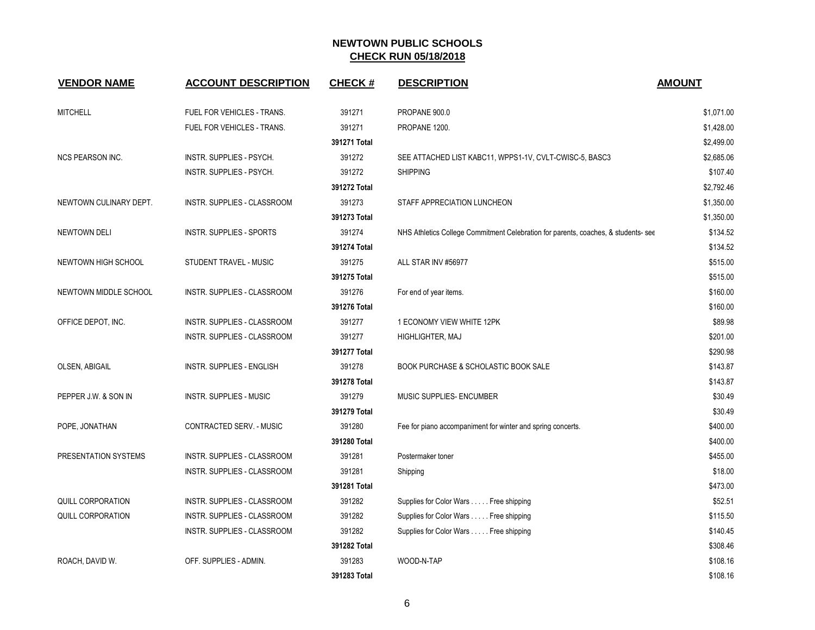| <b>VENDOR NAME</b>       | <b>ACCOUNT DESCRIPTION</b>        | <b>CHECK#</b> | <b>DESCRIPTION</b>                                                                 | <b>AMOUNT</b> |
|--------------------------|-----------------------------------|---------------|------------------------------------------------------------------------------------|---------------|
| <b>MITCHELL</b>          | FUEL FOR VEHICLES - TRANS.        | 391271        | PROPANE 900.0                                                                      | \$1,071.00    |
|                          | <b>FUEL FOR VEHICLES - TRANS.</b> | 391271        | PROPANE 1200.                                                                      | \$1,428.00    |
|                          |                                   | 391271 Total  |                                                                                    | \$2,499.00    |
| <b>NCS PEARSON INC.</b>  | INSTR. SUPPLIES - PSYCH.          | 391272        | SEE ATTACHED LIST KABC11, WPPS1-1V, CVLT-CWISC-5, BASC3                            | \$2,685.06    |
|                          | INSTR. SUPPLIES - PSYCH.          | 391272        | <b>SHIPPING</b>                                                                    | \$107.40      |
|                          |                                   | 391272 Total  |                                                                                    | \$2,792.46    |
| NEWTOWN CULINARY DEPT.   | INSTR. SUPPLIES - CLASSROOM       | 391273        | STAFF APPRECIATION LUNCHEON                                                        | \$1,350.00    |
|                          |                                   | 391273 Total  |                                                                                    | \$1,350.00    |
| NEWTOWN DELI             | <b>INSTR. SUPPLIES - SPORTS</b>   | 391274        | NHS Athletics College Commitment Celebration for parents, coaches, & students- see | \$134.52      |
|                          |                                   | 391274 Total  |                                                                                    | \$134.52      |
| NEWTOWN HIGH SCHOOL      | STUDENT TRAVEL - MUSIC            | 391275        | ALL STAR INV #56977                                                                | \$515.00      |
|                          |                                   | 391275 Total  |                                                                                    | \$515.00      |
| NEWTOWN MIDDLE SCHOOL    | INSTR. SUPPLIES - CLASSROOM       | 391276        | For end of year items.                                                             | \$160.00      |
|                          |                                   | 391276 Total  |                                                                                    | \$160.00      |
| OFFICE DEPOT, INC.       | INSTR. SUPPLIES - CLASSROOM       | 391277        | 1 ECONOMY VIEW WHITE 12PK                                                          | \$89.98       |
|                          | INSTR. SUPPLIES - CLASSROOM       | 391277        | HIGHLIGHTER, MAJ                                                                   | \$201.00      |
|                          |                                   | 391277 Total  |                                                                                    | \$290.98      |
| OLSEN, ABIGAIL           | <b>INSTR. SUPPLIES - ENGLISH</b>  | 391278        | <b>BOOK PURCHASE &amp; SCHOLASTIC BOOK SALE</b>                                    | \$143.87      |
|                          |                                   | 391278 Total  |                                                                                    | \$143.87      |
| PEPPER J.W. & SON IN     | <b>INSTR. SUPPLIES - MUSIC</b>    | 391279        | <b>MUSIC SUPPLIES- ENCUMBER</b>                                                    | \$30.49       |
|                          |                                   | 391279 Total  |                                                                                    | \$30.49       |
| POPE, JONATHAN           | CONTRACTED SERV. - MUSIC          | 391280        | Fee for piano accompaniment for winter and spring concerts.                        | \$400.00      |
|                          |                                   | 391280 Total  |                                                                                    | \$400.00      |
| PRESENTATION SYSTEMS     | INSTR. SUPPLIES - CLASSROOM       | 391281        | Postermaker toner                                                                  | \$455.00      |
|                          | INSTR. SUPPLIES - CLASSROOM       | 391281        | Shipping                                                                           | \$18.00       |
|                          |                                   | 391281 Total  |                                                                                    | \$473.00      |
| QUILL CORPORATION        | INSTR. SUPPLIES - CLASSROOM       | 391282        | Supplies for Color Wars Free shipping                                              | \$52.51       |
| <b>QUILL CORPORATION</b> | INSTR. SUPPLIES - CLASSROOM       | 391282        | Supplies for Color Wars Free shipping                                              | \$115.50      |
|                          | INSTR. SUPPLIES - CLASSROOM       | 391282        | Supplies for Color Wars Free shipping                                              | \$140.45      |
|                          |                                   | 391282 Total  |                                                                                    | \$308.46      |
| ROACH, DAVID W.          | OFF. SUPPLIES - ADMIN.            | 391283        | WOOD-N-TAP                                                                         | \$108.16      |
|                          |                                   | 391283 Total  |                                                                                    | \$108.16      |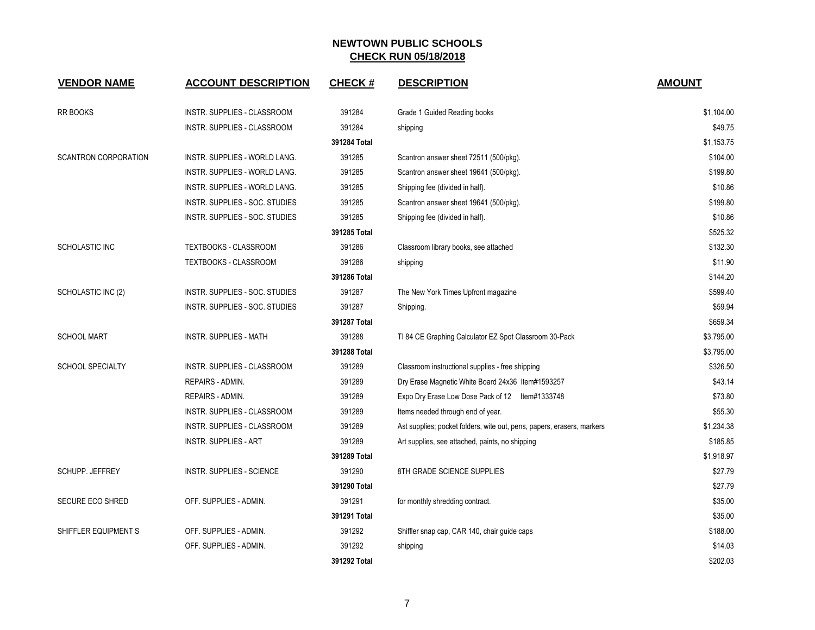| <b>VENDOR NAME</b>          | <b>ACCOUNT DESCRIPTION</b>           | <b>CHECK#</b> | <b>DESCRIPTION</b>                                                     | <b>AMOUNT</b> |
|-----------------------------|--------------------------------------|---------------|------------------------------------------------------------------------|---------------|
| <b>RR BOOKS</b>             | INSTR. SUPPLIES - CLASSROOM          | 391284        | Grade 1 Guided Reading books                                           | \$1,104.00    |
|                             | INSTR. SUPPLIES - CLASSROOM          | 391284        | shipping                                                               | \$49.75       |
|                             |                                      | 391284 Total  |                                                                        | \$1,153.75    |
| <b>SCANTRON CORPORATION</b> | INSTR. SUPPLIES - WORLD LANG.        | 391285        | Scantron answer sheet 72511 (500/pkg).                                 | \$104.00      |
|                             | <b>INSTR. SUPPLIES - WORLD LANG.</b> | 391285        | Scantron answer sheet 19641 (500/pkg).                                 | \$199.80      |
|                             | <b>INSTR. SUPPLIES - WORLD LANG.</b> | 391285        | Shipping fee (divided in half).                                        | \$10.86       |
|                             | INSTR. SUPPLIES - SOC. STUDIES       | 391285        | Scantron answer sheet 19641 (500/pkg).                                 | \$199.80      |
|                             | INSTR. SUPPLIES - SOC. STUDIES       | 391285        | Shipping fee (divided in half).                                        | \$10.86       |
|                             |                                      | 391285 Total  |                                                                        | \$525.32      |
| SCHOLASTIC INC              | TEXTBOOKS - CLASSROOM                | 391286        | Classroom library books, see attached                                  | \$132.30      |
|                             | TEXTBOOKS - CLASSROOM                | 391286        | shipping                                                               | \$11.90       |
|                             |                                      | 391286 Total  |                                                                        | \$144.20      |
| SCHOLASTIC INC (2)          | INSTR. SUPPLIES - SOC. STUDIES       | 391287        | The New York Times Upfront magazine                                    | \$599.40      |
|                             | INSTR. SUPPLIES - SOC. STUDIES       | 391287        | Shipping.                                                              | \$59.94       |
|                             |                                      | 391287 Total  |                                                                        | \$659.34      |
| <b>SCHOOL MART</b>          | INSTR. SUPPLIES - MATH               | 391288        | TI 84 CE Graphing Calculator EZ Spot Classroom 30-Pack                 | \$3,795.00    |
|                             |                                      | 391288 Total  |                                                                        | \$3,795.00    |
| <b>SCHOOL SPECIALTY</b>     | INSTR. SUPPLIES - CLASSROOM          | 391289        | Classroom instructional supplies - free shipping                       | \$326.50      |
|                             | <b>REPAIRS - ADMIN.</b>              | 391289        | Dry Erase Magnetic White Board 24x36 Item#1593257                      | \$43.14       |
|                             | REPAIRS - ADMIN.                     | 391289        | Expo Dry Erase Low Dose Pack of 12 Item#1333748                        | \$73.80       |
|                             | INSTR. SUPPLIES - CLASSROOM          | 391289        | Items needed through end of year.                                      | \$55.30       |
|                             | INSTR. SUPPLIES - CLASSROOM          | 391289        | Ast supplies; pocket folders, wite out, pens, papers, erasers, markers | \$1,234.38    |
|                             | <b>INSTR. SUPPLIES - ART</b>         | 391289        | Art supplies, see attached, paints, no shipping                        | \$185.85      |
|                             |                                      | 391289 Total  |                                                                        | \$1,918.97    |
| <b>SCHUPP. JEFFREY</b>      | <b>INSTR. SUPPLIES - SCIENCE</b>     | 391290        | 8TH GRADE SCIENCE SUPPLIES                                             | \$27.79       |
|                             |                                      | 391290 Total  |                                                                        | \$27.79       |
| <b>SECURE ECO SHRED</b>     | OFF. SUPPLIES - ADMIN.               | 391291        | for monthly shredding contract.                                        | \$35.00       |
|                             |                                      | 391291 Total  |                                                                        | \$35.00       |
| SHIFFLER EQUIPMENT S        | OFF. SUPPLIES - ADMIN.               | 391292        | Shiffler snap cap, CAR 140, chair guide caps                           | \$188.00      |
|                             | OFF. SUPPLIES - ADMIN.               | 391292        | shipping                                                               | \$14.03       |
|                             |                                      | 391292 Total  |                                                                        | \$202.03      |